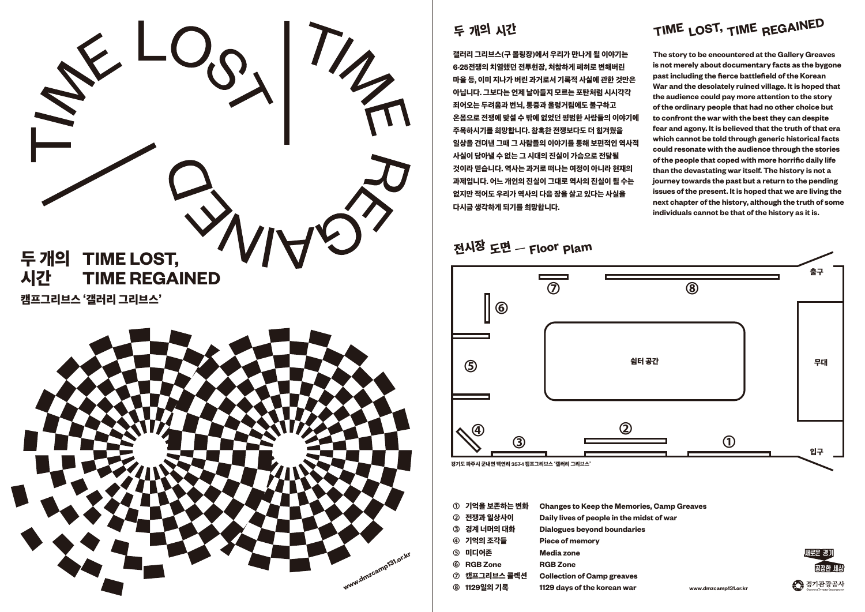

### 두 개의 시간

갤러리 그리브스**(**구 볼링장**)**에서 우리가 만나게 될 이야기는 **6·25**전쟁의 치열했던 전투현장**,** 처참하게 폐허로 변해버린 마을 등**,** 이미 지나가 버린 과거로서 기록적 사실에 관한 것만은 아닙니다**.** 그보다는 언제 날아들지 모르는 포탄처럼 시시각각 죄어오는 두려움과 번뇌**,** 통증과 울렁거림에도 불구하고 온몸으로 전쟁에 맞설 수 밖에 없었던 평범한 사람들의 이야기에 주목하시기를 희망합니다**.** 참혹한 전쟁보다도 더 힘겨웠을 일상을 견뎌낸 그때 그 사람들의 이야기를 통해 보편적인 역사적 사실이 담아낼 수 없는 그 시대의 진실이 가슴으로 전달될 것이라 믿습니다**.** 역사는 과거로 떠나는 여정이 아니라 현재의 과제입니다**.** 어느 개인의 진실이 그대로 역사의 진실이 될 수는 없지만 적어도 우리가 역사의 다음 장을 살고 있다는 사실을 다시금 생각하게 되기를 희망합니다**.** 

|               | ① 기억을 보존하는 변화   | <b>Changes to Keep the Memories, Camp Greaves</b> |
|---------------|-----------------|---------------------------------------------------|
| $\circled{2}$ | 전쟁과 일상사이        | Daily lives of people in the midst of war         |
|               | ③ 경계 너머의 대화     | <b>Dialogues beyond boundaries</b>                |
|               | ④ 기억의 조각들       | <b>Piece of memory</b>                            |
| $\circledS$   | 미디어존            | Media zone                                        |
| 6             | <b>RGB Zone</b> | <b>RGB Zone</b>                                   |
| $\circledR$   | 캠프그리브스 콜렉션      | <b>Collection of Camp greaves</b>                 |
| <b>®</b>      | 1129일의 기록       | 1129 days of the korean war<br>www.d              |
|               |                 |                                                   |

**The story to be encountered at the Gallery Greaves is not merely about documentary facts as the bygone past including the fierce battlefield of the Korean War and the desolately ruined village. It is hoped that the audience could pay more attention to the story of the ordinary people that had no other choice but to confront the war with the best they can despite fear and agony. It is believed that the truth of that era which cannot be told through generic historical facts could resonate with the audience through the stories of the people that coped with more horrific daily life than the devastating war itself. The history is not a journey towards the past but a return to the pending issues of the present. It is hoped that we are living the next chapter of the history, although the truth of some individuals cannot be that of the history as it is.** 



— 전시장 도면 **Floor Plam**

## **TIM<sup>E</sup> REGAINED TIME LOST,**